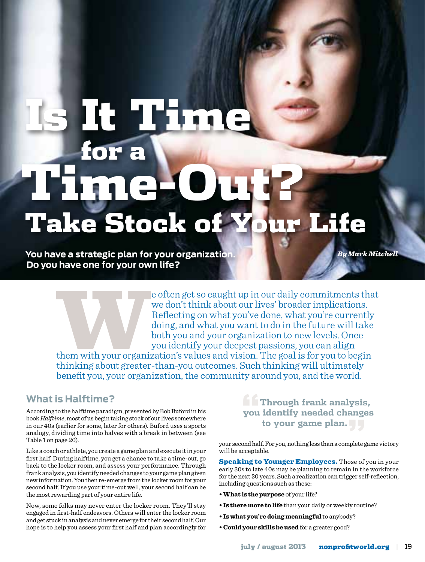# Time-Out? Is It Time for a Take Stock of Your Life

**You have a strategic plan for your organization. Do you have one for your own life?** 

*By Mark Mitchell*

e often get so caught up in our daily commitments that<br>we don't think about our lives' broader implications.<br>Reflecting on what you've done, what you're currently<br>doing, and what you want to do in the future will take<br>both we don't think about our lives' broader implications. Reflecting on what you've done, what you're currently doing, and what you want to do in the future will take both you and your organization to new levels. Once you identify your deepest passions, you can align

them with your organization's values and vision. The goal is for you to begin thinking about greater-than-you outcomes. Such thinking will ultimately benefit you, your organization, the community around you, and the world.

## **What is Halftime?**

According to the halftime paradigm, presented by Bob Buford in his book *Halftime*, most of us begin taking stock of our lives somewhere in our 40s (earlier for some, later for others). Buford uses a sports analogy, dividing time into halves with a break in between (see Table 1 on page 20).

Like a coach or athlete, you create a game plan and execute it in your first half. During halftime, you get a chance to take a time-out, go back to the locker room, and assess your performance. Through frank analysis, you identify needed changes to your game plan given new information. You then re-emerge from the locker room for your second half. If you use your time-out well, your second half can be the most rewarding part of your entire life.

Now, some folks may never enter the locker room. They'll stay engaged in first-half endeavors. Others will enter the locker room and get stuck in analysis and never emerge for their second half. Our hope is to help you assess your first half and plan accordingly for **Through frank analysis,<br>you identify needed changes<br>to your game plan. you identify needed changes to your game plan."**

your second half. For you, nothing less than a complete game victory will be acceptable.

**Speaking to Younger Employees.** Those of you in your early 30s to late 40s may be planning to remain in the workforce for the next 30 years. Such a realization can trigger self-reflection, including questions such as these:

- **What is the purpose** of your life?
- **Is there more to life** than your daily or weekly routine?
- **Is what you're doing meaningful** to anybody?
- **Could your skills be used** for a greater good?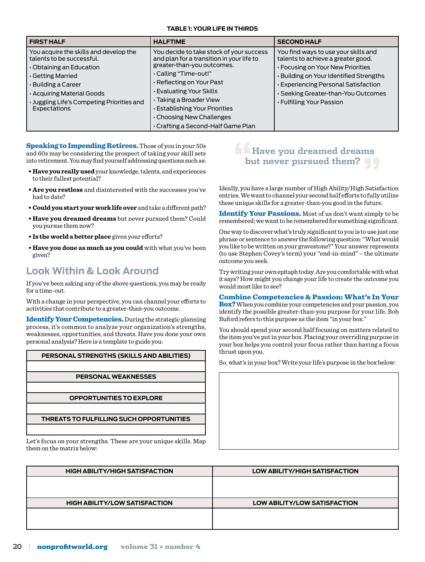#### **Table 1: Your Life in Thirds**

| <b>FIRST HALF</b>                                                                                                                                                                                                                   | <b>HALFTIME</b>                                                                                                                                                                                                                                                                                                                     | <b>SECOND HALF</b>                                                                                                                                                                                                                                                          |
|-------------------------------------------------------------------------------------------------------------------------------------------------------------------------------------------------------------------------------------|-------------------------------------------------------------------------------------------------------------------------------------------------------------------------------------------------------------------------------------------------------------------------------------------------------------------------------------|-----------------------------------------------------------------------------------------------------------------------------------------------------------------------------------------------------------------------------------------------------------------------------|
| You acquire the skills and develop the<br>talents to be successful.<br>Obtaining an Education<br>Getting Married<br>• Building a Career<br>. Acquiring Material Goods<br>· Juggling Life's Competing Priorities and<br>Expectations | You decide to take stock of your success<br>and plan for a transition in your life to<br>greater-than-you outcomes.<br>. Calling "Time-out!"<br>Reflecting on Your Past<br>· Evaluating Your Skills<br>• Taking a Broader View<br>· Establishing Your Priorities<br>. Choosing New Challenges<br>. Crafting a Second-Half Game Plan | You find ways to use your skills and<br>talents to achieve a greater good.<br>• Focusing on Your New Priorities<br>· Building on Your Identified Strengths<br><b>Experiencing Personal Satisfaction</b><br>· Seeking Greater-than-You Outcomes<br>• Fulfilling Your Passion |

Speaking to Impending Retirees. Those of you in your 50s and 60s may be considering the prospect of taking your skill sets into retirement. You may find yourself addressing questions such as:

- **Have you really used** your knowledge, talents, and experiences to their fullest potential?
- **Are you restless** and disinterested with the successes you've had to date?
- **Could you start your work life over** and take a different path?
- **Have you dreamed dreams** but never pursued them? Could you pursue them now?
- **Is the world a better place** given your efforts?
- **Have you done as much as you could** with what you've been given?

## **Look Within & Look Around**

If you've been asking any of the above questions, you may be ready for a time-out.

With a change in your perspective, you can channel your efforts to activities that contribute to a greater-than-you outcome.

Identify Your Competencies. During the strategic planning process, it's common to analyze your organization's strengths, weaknesses, opportunities, and threats. Have you done your own personal analysis? Here is a template to guide you:

#### **Personal Strengths (Skills and Abilities)**

#### **Personal Weaknesses**

#### **Opportunities to Explore**

**Threats to Fulfilling Such Opportunities**

Let's focus on your strengths. These are your unique skills. Map them on the matrix below:

## **"Have you dreamed dreams but never pursued them?**

Ideally, you have a large number of High Ability/High Satisfaction entries. We want to channel your second half efforts to fully utilize these unique skills for a greater-than-you good in the future.

**Identify Your Passions.** Most of us don't want simply to be remembered; we want to be remembered for something significant.

One way to discover what's truly significant to you is to use just one phrase or sentence to answer the following question: "What would you like to be written on your gravestone?" Your answer represents (to use Stephen Covey's term) your "end-in-mind" – the ultimate outcome you seek.

Try writing your own epitaph today. Are you comfortable with what it says? How might you change your life to create the outcome you would most like to see?

#### Combine Competencies & Passion: What's In Your

Box? When you combine your competencies and your passion, you identify the possible greater-than-you purpose for your life. Bob Buford refers to this purpose as the item "in your box."

You should spend your second half focusing on matters related to the item you've put in your box. Placing your overriding purpose in your box helps you control your focus rather than having a focus thrust upon you.

So, what's in your box? Write your life's purpose in the box below:

| <b>HIGH ABILITY/HIGH SATISFACTION</b> | LOW ABILITY/HIGH SATISFACTION       |  |
|---------------------------------------|-------------------------------------|--|
|                                       |                                     |  |
|                                       |                                     |  |
| <b>HIGH ABILITY/LOW SATISFACTION</b>  | <b>LOW ABILITY/LOW SATISFACTION</b> |  |
|                                       |                                     |  |
|                                       |                                     |  |